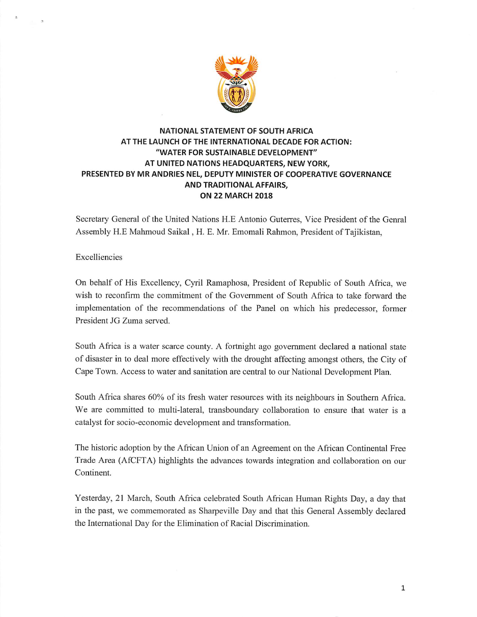

## NATIONAL STATEMENT OF SOUTH AFRICA AT THE LAUNCH OF THE INTERNATIONAL DECADE FOR ACTION: "WATER FOR SUSTAINABLE DEVELOPMENT" AT UNITED NATIONS HEADQUARTERS, NEW YORK, PRESENTED BY MR ANDRIES NEL, DEPUTY MINISTER OF COOPERATIVE GOVERNANCE AND TRADITIONAL AFFAIRS, ON 22 MARCH 2018

Secretary General of the United Nations H.E Antonio Guterres, Vice President of the Genral Assembly H.E Mahmoud Saikal, H. E. Mr. Emomali Rahmon, President of Tajikistan,

Excelliencies

 $\overline{z}$ 

On behalf of His Excellency, Cyril Ramaphosa, President of Republic of South Africa, we wish to reconfirm the commitment of the Government of South Africa to take forward the implementation of the recommendations of the Panel on which his predecessor, former President JG Zuma served.

South Africa is a water scarce county. A fortnight ago government declared a national state of disaster in to deal more effectively with the drought affecting amongst others, the City of Cape Town. Access to water and sanitation are central to our National Development Plan.

South Africa shares 60% of its fresh water resources with its neighbours in Southern Afiica. We are committed to multi-lateral, transboundary collaboration to ensure that water is a catalyst for socio-economic development and transformation.

The historic adoption by the African Union of an Agreement on the African Continental Free Trade Area (AfCFTA) highlights the advances towards integration and collaboration on our Continent.

Yesterday, 21 March, South Africa celebrated South African Human Rights Day, a day that in the past, we commemorated as Sharpeville Day and that this General Assembly declared the International Day for the Elimination of Racial Discrimination.

 $\mathbf 1$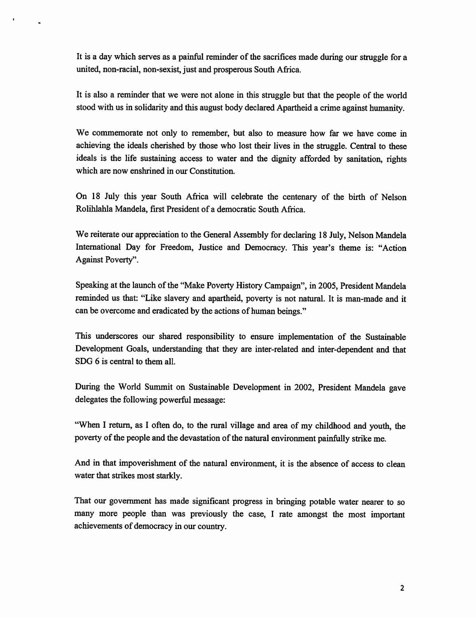It is a day which serves as a painful reminder of the sacrifices made during our struggle for a united, non-racial, non-sexist, just and prosperous South Africa.

It is also a reminder that we were not alone in this struggle but that the people of the world stood with us in solidarity and this august body declared Apartheid a crime against humanity.

We commemorate not only to remember, but also to measure how far we have come in achieving the ideals cherished by those who lost their lives in the struggle. Central to these ideals is the life sustaining access to water and the dignity afforded by sanitation, rights which are now enshrined in our Constitution.

On 18 July this year South Afnca will celebrate the centenary of the birth of Nelson Rolihlahla Mandela, first President of a democratic South Africa.

We reiterate our appreciation to the General Assembly for declaring 18 July, Nelson Mandela Intemational Day for Freedom, Justice and Democracy. This year's theme is: "Action Against Poverty".

Speaking at the launch of the "Make Poverty History Campaign", in 2005, President Mandela reminded us that: "Like slavery and apartheid, poverty is not natural. It is man-made and it can be overcome and eradicated by the actions of human beings."

This imderscores our shared responsibility to ensure implementation of the Sustainable Development Goals, understanding that they are inter-related and inter-dependent and that SDG 6 is central to them all.

During the World Sinnmit on Sustainable Development in 2002, President Mandela gave delegates the following powerful message:

"When 1 return, as 1 often do, to the rural village and area of my childhood and youth, the poverty of the people and the devastation of the natural environment painfully strike me.

And in that impoverishment of the natural environment, it is the absence of access to clean water that strikes most starkly.

That our government has made significant progress in bringing potable water nearer to so many more people than was previously the case, 1 rate amongst the most important achievements of democracy in our country.